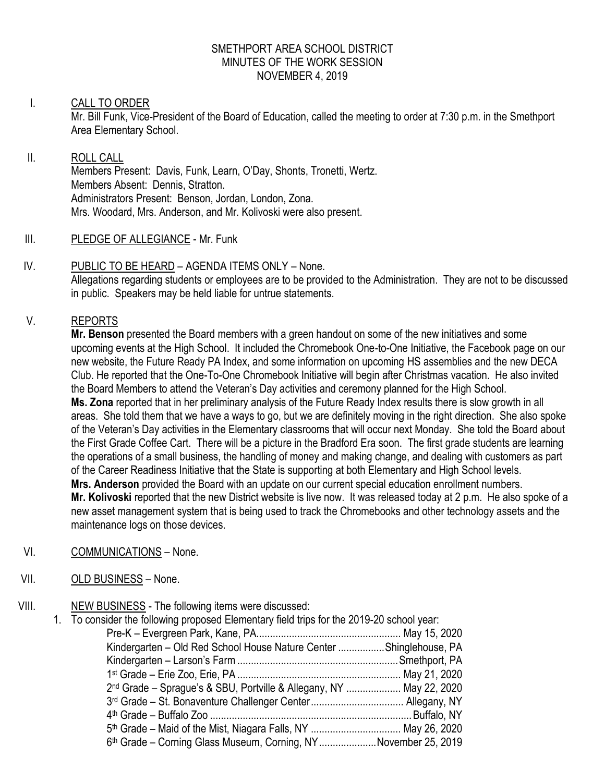### SMETHPORT AREA SCHOOL DISTRICT MINUTES OF THE WORK SESSION NOVEMBER 4, 2019

## I. CALL TO ORDER

Mr. Bill Funk, Vice-President of the Board of Education, called the meeting to order at 7:30 p.m. in the Smethport Area Elementary School.

## II. ROLL CALL

Members Present: Davis, Funk, Learn, O'Day, Shonts, Tronetti, Wertz. Members Absent: Dennis, Stratton. Administrators Present: Benson, Jordan, London, Zona. Mrs. Woodard, Mrs. Anderson, and Mr. Kolivoski were also present.

- III. PLEDGE OF ALLEGIANCE Mr. Funk
- IV. PUBLIC TO BE HEARD AGENDA ITEMS ONLY None. Allegations regarding students or employees are to be provided to the Administration. They are not to be discussed in public. Speakers may be held liable for untrue statements.

# V. REPORTS

**Mr. Benson** presented the Board members with a green handout on some of the new initiatives and some upcoming events at the High School. It included the Chromebook One-to-One Initiative, the Facebook page on our new website, the Future Ready PA Index, and some information on upcoming HS assemblies and the new DECA Club. He reported that the One-To-One Chromebook Initiative will begin after Christmas vacation. He also invited the Board Members to attend the Veteran's Day activities and ceremony planned for the High School. **Ms. Zona** reported that in her preliminary analysis of the Future Ready Index results there is slow growth in all areas. She told them that we have a ways to go, but we are definitely moving in the right direction. She also spoke of the Veteran's Day activities in the Elementary classrooms that will occur next Monday. She told the Board about the First Grade Coffee Cart. There will be a picture in the Bradford Era soon. The first grade students are learning the operations of a small business, the handling of money and making change, and dealing with customers as part of the Career Readiness Initiative that the State is supporting at both Elementary and High School levels. **Mrs. Anderson** provided the Board with an update on our current special education enrollment numbers. **Mr. Kolivoski** reported that the new District website is live now. It was released today at 2 p.m. He also spoke of a new asset management system that is being used to track the Chromebooks and other technology assets and the maintenance logs on those devices.

VI. COMMUNICATIONS – None.

# VII. OLD BUSINESS – None.

VIII. NEW BUSINESS - The following items were discussed:

1. To consider the following proposed Elementary field trips for the 2019-20 school year: Pre-K – Evergreen Park, Kane, PA..................................................... May 15, 2020 Kindergarten – Old Red School House Nature Center .................Shinglehouse, PA Kindergarten – Larson's Farm...........................................................Smethport, PA 1 st Grade – Erie Zoo, Erie, PA ............................................................ May 21, 2020 2 nd Grade – Sprague's & SBU, Portville & Allegany, NY .................... May 22, 2020 3 rd Grade – St. Bonaventure Challenger Center.................................. Allegany, NY 4 th Grade – Buffalo Zoo ..........................................................................Buffalo, NY 5<sup>th</sup> Grade – Maid of the Mist, Niagara Falls, NY .................................. May 26, 2020 6<sup>th</sup> Grade – Corning Glass Museum, Corning, NY......................November 25, 2019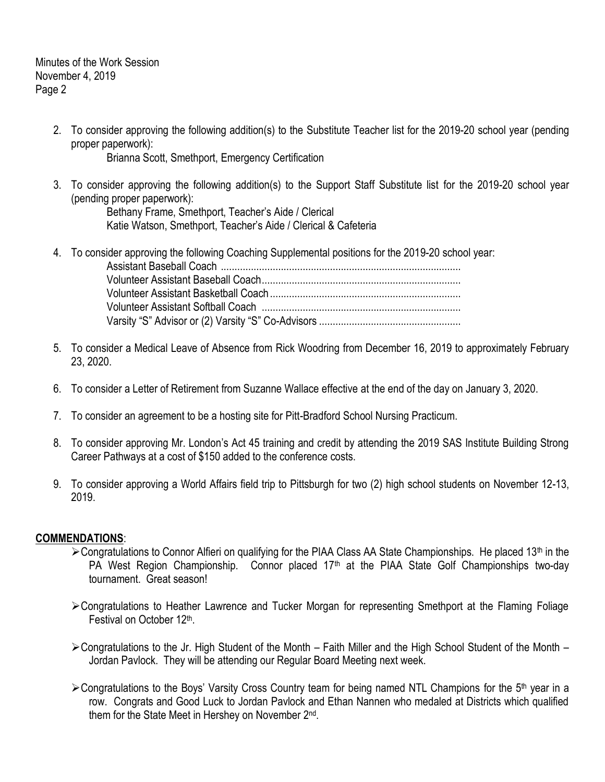Minutes of the Work Session November 4, 2019 Page 2

> 2. To consider approving the following addition(s) to the Substitute Teacher list for the 2019-20 school year (pending proper paperwork):

Brianna Scott, Smethport, Emergency Certification

3. To consider approving the following addition(s) to the Support Staff Substitute list for the 2019-20 school year (pending proper paperwork):

Bethany Frame, Smethport, Teacher's Aide / Clerical Katie Watson, Smethport, Teacher's Aide / Clerical & Cafeteria

- 4. To consider approving the following Coaching Supplemental positions for the 2019-20 school year: Assistant Baseball Coach ........................................................................................ Volunteer Assistant Baseball Coach......................................................................... Volunteer Assistant Basketball Coach...................................................................... Volunteer Assistant Softball Coach ......................................................................... Varsity "S" Advisor or (2) Varsity "S" Co-Advisors ....................................................
- 5. To consider a Medical Leave of Absence from Rick Woodring from December 16, 2019 to approximately February 23, 2020.
- 6. To consider a Letter of Retirement from Suzanne Wallace effective at the end of the day on January 3, 2020.
- 7. To consider an agreement to be a hosting site for Pitt-Bradford School Nursing Practicum.
- 8. To consider approving Mr. London's Act 45 training and credit by attending the 2019 SAS Institute Building Strong Career Pathways at a cost of \$150 added to the conference costs.
- 9. To consider approving a World Affairs field trip to Pittsburgh for two (2) high school students on November 12-13, 2019.

#### **COMMENDATIONS**:

- $\geq$  Congratulations to Connor Alfieri on qualifying for the PIAA Class AA State Championships. He placed 13<sup>th</sup> in the PA West Region Championship. Connor placed 17<sup>th</sup> at the PIAA State Golf Championships two-day tournament. Great season!
- Congratulations to Heather Lawrence and Tucker Morgan for representing Smethport at the Flaming Foliage Festival on October 12<sup>th</sup>.
- Congratulations to the Jr. High Student of the Month Faith Miller and the High School Student of the Month Jordan Pavlock. They will be attending our Regular Board Meeting next week.
- ≻Congratulations to the Boys' Varsity Cross Country team for being named NTL Champions for the 5<sup>th</sup> year in a row. Congrats and Good Luck to Jordan Pavlock and Ethan Nannen who medaled at Districts which qualified them for the State Meet in Hershey on November 2<sup>nd</sup>.